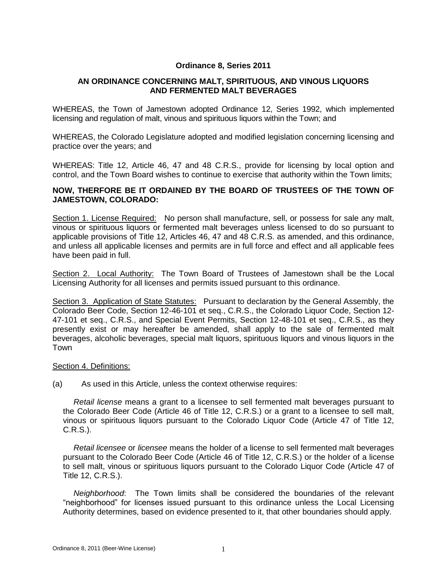# **Ordinance 8, Series 2011**

# **AN ORDINANCE CONCERNING MALT, SPIRITUOUS, AND VINOUS LIQUORS AND FERMENTED MALT BEVERAGES**

WHEREAS, the Town of Jamestown adopted Ordinance 12, Series 1992, which implemented licensing and regulation of malt, vinous and spirituous liquors within the Town; and

WHEREAS, the Colorado Legislature adopted and modified legislation concerning licensing and practice over the years; and

WHEREAS: Title 12, Article 46, 47 and 48 C.R.S., provide for licensing by local option and control, and the Town Board wishes to continue to exercise that authority within the Town limits;

## **NOW, THERFORE BE IT ORDAINED BY THE BOARD OF TRUSTEES OF THE TOWN OF JAMESTOWN, COLORADO:**

Section 1. License Required: No person shall manufacture, sell, or possess for sale any malt, vinous or spirituous liquors or fermented malt beverages unless licensed to do so pursuant to applicable provisions of Title 12, Articles 46, 47 and 48 C.R.S. as amended, and this ordinance, and unless all applicable licenses and permits are in full force and effect and all applicable fees have been paid in full.

Section 2. Local Authority: The Town Board of Trustees of Jamestown shall be the Local Licensing Authority for all licenses and permits issued pursuant to this ordinance.

Section 3. Application of State Statutes: Pursuant to declaration by the General Assembly, the Colorado Beer Code, Section 12-46-101 et seq., C.R.S., the Colorado Liquor Code, Section 12- 47-101 et seq., C.R.S., and Special Event Permits, Section 12-48-101 et seq., C.R.S., as they presently exist or may hereafter be amended, shall apply to the sale of fermented malt beverages, alcoholic beverages, special malt liquors, spirituous liquors and vinous liquors in the Town

#### Section 4. Definitions:

(a) As used in this Article, unless the context otherwise requires:

*Retail license* means a grant to a licensee to sell fermented malt beverages pursuant to the Colorado Beer Code (Article 46 of Title 12, C.R.S.) or a grant to a licensee to sell malt, vinous or spirituous liquors pursuant to the Colorado Liquor Code (Article 47 of Title 12, C.R.S.).

*Retail licensee* or *licensee* means the holder of a license to sell fermented malt beverages pursuant to the Colorado Beer Code (Article 46 of Title 12, C.R.S.) or the holder of a license to sell malt, vinous or spirituous liquors pursuant to the Colorado Liquor Code (Article 47 of Title 12, C.R.S.).

*Neighborhood*: The Town limits shall be considered the boundaries of the relevant "neighborhood" for licenses issued pursuant to this ordinance unless the Local Licensing Authority determines, based on evidence presented to it, that other boundaries should apply.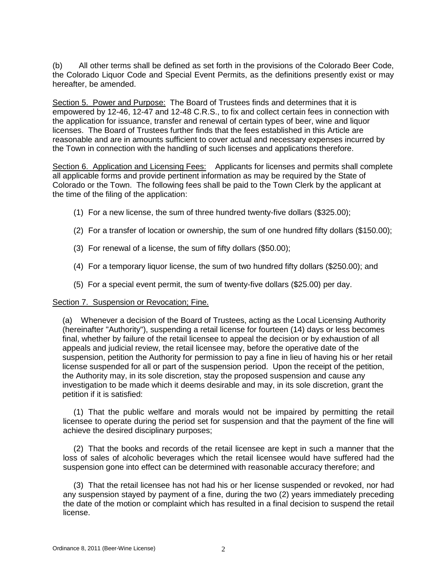(b) All other terms shall be defined as set forth in the provisions of the Colorado Beer Code, the Colorado Liquor Code and Special Event Permits, as the definitions presently exist or may hereafter, be amended.

Section 5. Power and Purpose: The Board of Trustees finds and determines that it is empowered by 12-46, 12-47 and 12-48 C.R.S., to fix and collect certain fees in connection with the application for issuance, transfer and renewal of certain types of beer, wine and liquor licenses. The Board of Trustees further finds that the fees established in this Article are reasonable and are in amounts sufficient to cover actual and necessary expenses incurred by the Town in connection with the handling of such licenses and applications therefore.

Section 6. Application and Licensing Fees: Applicants for licenses and permits shall complete all applicable forms and provide pertinent information as may be required by the State of Colorado or the Town. The following fees shall be paid to the Town Clerk by the applicant at the time of the filing of the application:

- (1) For a new license, the sum of three hundred twenty-five dollars (\$325.00);
- (2) For a transfer of location or ownership, the sum of one hundred fifty dollars (\$150.00);
- (3) For renewal of a license, the sum of fifty dollars (\$50.00);
- (4) For a temporary liquor license, the sum of two hundred fifty dollars (\$250.00); and
- (5) For a special event permit, the sum of twenty-five dollars (\$25.00) per day.

### Section 7. Suspension or Revocation; Fine.

(a) Whenever a decision of the Board of Trustees, acting as the Local Licensing Authority (hereinafter "Authority"), suspending a retail license for fourteen (14) days or less becomes final, whether by failure of the retail licensee to appeal the decision or by exhaustion of all appeals and judicial review, the retail licensee may, before the operative date of the suspension, petition the Authority for permission to pay a fine in lieu of having his or her retail license suspended for all or part of the suspension period. Upon the receipt of the petition, the Authority may, in its sole discretion, stay the proposed suspension and cause any investigation to be made which it deems desirable and may, in its sole discretion, grant the petition if it is satisfied:

(1) That the public welfare and morals would not be impaired by permitting the retail licensee to operate during the period set for suspension and that the payment of the fine will achieve the desired disciplinary purposes;

(2) That the books and records of the retail licensee are kept in such a manner that the loss of sales of alcoholic beverages which the retail licensee would have suffered had the suspension gone into effect can be determined with reasonable accuracy therefore; and

(3) That the retail licensee has not had his or her license suspended or revoked, nor had any suspension stayed by payment of a fine, during the two (2) years immediately preceding the date of the motion or complaint which has resulted in a final decision to suspend the retail license.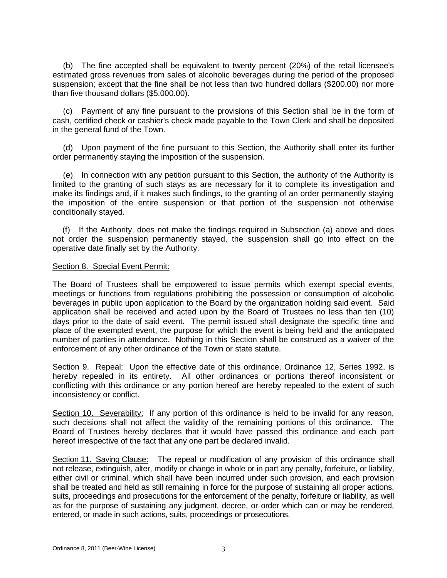(b) The fine accepted shall be equivalent to twenty percent (20%) of the retail licensee's estimated gross revenues from sales of alcoholic beverages during the period of the proposed suspension; except that the fine shall be not less than two hundred dollars (\$200.00) nor more than five thousand dollars (\$5,000.00).

(c) Payment of any fine pursuant to the provisions of this Section shall be in the form of cash, certified check or cashier's check made payable to the Town Clerk and shall be deposited in the general fund of the Town.

(d) Upon payment of the fine pursuant to this Section, the Authority shall enter its further order permanently staying the imposition of the suspension.

(e) In connection with any petition pursuant to this Section, the authority of the Authority is limited to the granting of such stays as are necessary for it to complete its investigation and make its findings and, if it makes such findings, to the granting of an order permanently staying the imposition of the entire suspension or that portion of the suspension not otherwise conditionally stayed.

(f) If the Authority, does not make the findings required in Subsection (a) above and does not order the suspension permanently stayed, the suspension shall go into effect on the operative date finally set by the Authority.

#### Section 8. Special Event Permit:

The Board of Trustees shall be empowered to issue permits which exempt special events, meetings or functions from regulations prohibiting the possession or consumption of alcoholic beverages in public upon application to the Board by the organization holding said event. Said application shall be received and acted upon by the Board of Trustees no less than ten (10) days prior to the date of said event. The permit issued shall designate the specific time and place of the exempted event, the purpose for which the event is being held and the anticipated number of parties in attendance. Nothing in this Section shall be construed as a waiver of the enforcement of any other ordinance of the Town or state statute.

Section 9. Repeal: Upon the effective date of this ordinance, Ordinance 12, Series 1992, is hereby repealed in its entirety. All other ordinances or portions thereof inconsistent or conflicting with this ordinance or any portion hereof are hereby repealed to the extent of such inconsistency or conflict.

Section 10. Severability: If any portion of this ordinance is held to be invalid for any reason, such decisions shall not affect the validity of the remaining portions of this ordinance. The Board of Trustees hereby declares that it would have passed this ordinance and each part hereof irrespective of the fact that any one part be declared invalid.

Section 11. Saving Clause: The repeal or modification of any provision of this ordinance shall not release, extinguish, alter, modify or change in whole or in part any penalty, forfeiture, or liability, either civil or criminal, which shall have been incurred under such provision, and each provision shall be treated and held as still remaining in force for the purpose of sustaining all proper actions, suits, proceedings and prosecutions for the enforcement of the penalty, forfeiture or liability, as well as for the purpose of sustaining any judgment, decree, or order which can or may be rendered, entered, or made in such actions, suits, proceedings or prosecutions.